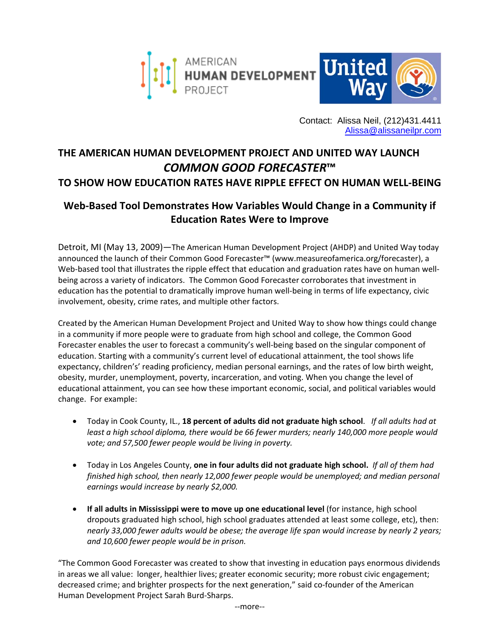

Contact: Alissa Neil, (212)431.4411 [Alissa@alissaneilpr.com](mailto:Alissa@alissaneilpr.com)

## **THE AMERICAN HUMAN DEVELOPMENT PROJECT AND UNITED WAY LAUNCH**  *COMMON GOOD FORECASTER***™ TO SHOW HOW EDUCATION RATES HAVE RIPPLE EFFECT ON HUMAN WELL‐BEING**

## **Web‐Based Tool Demonstrates How Variables Would Change in a Community if Education Rates Were to Improve**

Detroit, MI (May 13, 2009)—The American Human Development Project (AHDP) and United Way today announced the launch of their Common Good Forecaster™ (www.measureofamerica.org/forecaster), a Web-based tool that illustrates the ripple effect that education and graduation rates have on human wellbeing across a variety of indicators. The Common Good Forecaster corroborates that investment in education has the potential to dramatically improve human well-being in terms of life expectancy, civic involvement, obesity, crime rates, and multiple other factors.

Created by the American Human Development Project and United Way to show how things could change in a community if more people were to graduate from high school and college, the Common Good Forecaster enables the user to forecast a community's well‐being based on the singular component of education. Starting with a community's current level of educational attainment, the tool shows life expectancy, children's' reading proficiency, median personal earnings, and the rates of low birth weight, obesity, murder, unemployment, poverty, incarceration, and voting. When you change the level of educational attainment, you can see how these important economic, social, and political variables would change. For example:

- Today in Cook County, IL., **18 percent of adults did not graduate high school**. *If all adults had at least a high school diploma, there would be 66 fewer murders; nearly 140,000 more people would vote; and 57,500 fewer people would be living in poverty.*
- Today in Los Angeles County, **one in four adults did not graduate high school.** *If all of them had finished high school, then nearly 12,000 fewer people would be unemployed; and median personal earnings would increase by nearly \$2,000.*
- **If all adults in Mississippi were to move up one educational level** (for instance, high school dropouts graduated high school, high school graduates attended at least some college, etc), then: *nearly 33,000 fewer adults would be obese; the average life span would increase by nearly 2 years; and 10,600 fewer people would be in prison.*

"The Common Good Forecaster was created to show that investing in education pays enormous dividends in areas we all value: longer, healthier lives; greater economic security; more robust civic engagement; decreased crime; and brighter prospects for the next generation," said co-founder of the American Human Development Project Sarah Burd‐Sharps.